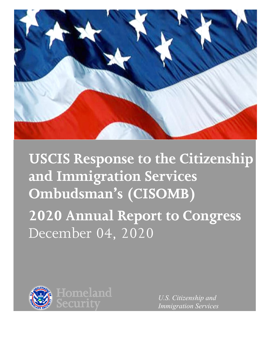

**USCIS Response to the Citizenship and Immigration Services Ombudsman's (CISOMB) 2020 Annual Report to Congress** December 04, 2020



*U.S. Citizenship and Immigration Services*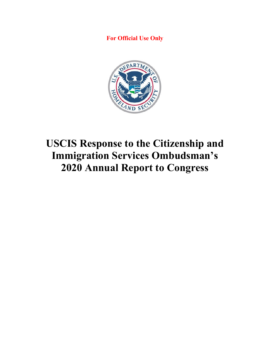**For Official Use Only**



# **USCIS Response to the Citizenship and Immigration Services Ombudsman's 2020 Annual Report to Congress**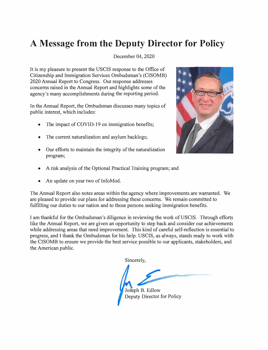## **A Message from the Deputy Director for Policy**

December 04, 2020

It is my pleasure to present the USCIS response to the Office of Citizenship and Immigration Services Ombudsman's (CISOMB) 2020 Annual Report to Congress. Our response addresses concerns raised in the Annual Report and highlights some of the agency's many accomplishments during the reporting period.

In the Annual Report, the Ombudsman discusses many topics of public interest, which includes:

- •The impact of COVID-19 on immigration benefits;
- •The current naturalization and asylum backlogs;
- Our efforts to maintain the integrity of the naturalization program;



- •A risk analysis of the Optional Practical Training program; and
- •An update on year two of lnfoMod.

The Annual Report also notes areas within the agency where improvements are warranted. We are pleased to provide our plans for addressing these concerns. We remain committed to fulfilling our duties to our nation and to those persons seeking immigration benefits.

I am thankful for the Ombudsman's diligence in reviewing the work of USCIS. Through efforts like the Annual Report, we are given an opportunity to step back and consider our achievements while addressing areas that need improvement. This kind of careful self-reflection is essential to progress, and I thank the Ombudsman for his help. USCIS, as always, stands ready to work with the CISOMB to ensure we provide the best service possible to our applicants, stakeholders, and the American public.

Sincerely,

Joseph B. Edlow Deputy Director for Policy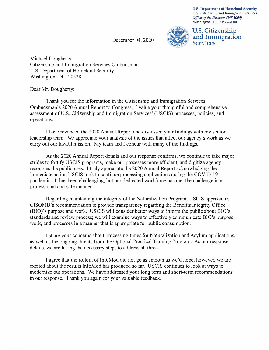**U.S. Department of Homeland Security**  U.S. Citizenship and Immigration Services *Office of the Director (MS 2000)*  Washington, DC 20529-2000

December 04, 2020



**U.S. Citizenship and Immigration Services** 

Michael Dougherty Citizenship and Immigration Services Ombudsman U.S. Department of Homeland Security Washington, DC 20528

Dear Mr. Dougherty:

Thank you for the information in the Citizenship and Immigration Services Ombudsman's 2020 Annual Report to Congress. I value your thoughtful and comprehensive assessment of U.S. Citizenship and Immigration Services' (USCIS) processes, policies, and operations.

I have reviewed the 2020 Annual Report and discussed your findings with my senior leadership team. We appreciate your analysis of the issues that affect our agency's work as we carry out our lawful mission. My team and I concur with many of the findings.

As the 2020 Annual Report details and our response confirms, we continue to take major strides to fortify USCIS programs, make our processes more efficient, and digitize agency resources the public uses. I truly appreciate the 2020 Annual Report acknowledging the immediate action USCIS took to continue processing applications during the COVID-19 pandemic. It has been challenging, but our dedicated workforce has met the challenge in a professional and safe manner.

Regarding maintaining the integrity of the Naturalization Program, USCIS appreciates CISOMB's recommendation to provide transparency regarding the Benefits Integrity Office (BIO)'s purpose and work. USCIS will consider better ways to inform the public about BIO's standards and review process; we will examine ways to effectively communicate BIO's purpose, work, and processes in a manner that is appropriate for public consumption.

I share your concerns about processing times for Naturalization and Asylum applications, as well as the ongoing threats from the Optional Practical Training Program. As our response details, we are taking the necessary steps to address all three.

I agree that the rollout of InfoMod did not go as smooth as we'd hope, however, we are excited about the results InfoMod has produced so far. USCIS continues to look at ways to modernize our operations. We have addressed your long term and short-term recommendations in our response. Thank you again for your valuable feedback.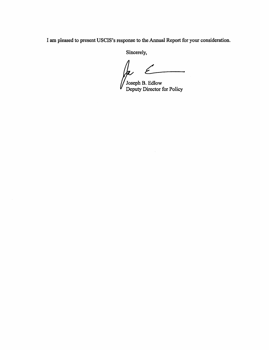I am pleased to present USCIS's response to the Annual Report for your consideration.

Sincerely,

la  $\epsilon$ 

Joseph B. Edlow Deputy Director for Policy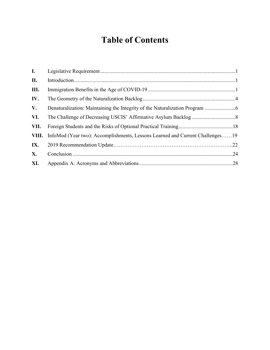## **Table of Contents**

| I.        |                                                                                     |
|-----------|-------------------------------------------------------------------------------------|
| П.        |                                                                                     |
| Ш.        |                                                                                     |
| IV.       |                                                                                     |
| V.        |                                                                                     |
| VI.       |                                                                                     |
| VII.      |                                                                                     |
|           | VIII. InfoMod (Year two): Accomplishments, Lessons Learned and Current Challenges19 |
| IX.       |                                                                                     |
| <b>X.</b> |                                                                                     |
| XI.       |                                                                                     |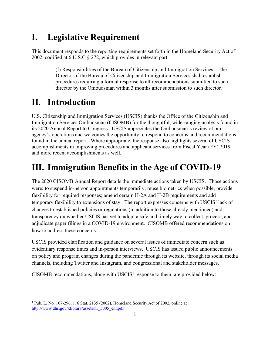### **I. Legislative Requirement**

This document responds to the reporting requirements set forth in the Homeland Security Act of 2002, codified at 6 U.S.C § 272, which provides in relevant part:

> (f) Responsibilities of the Bureau of Citizenship and Immigration Services—The Director of the Bureau of Citizenship and Immigration Services shall establish procedures requiring a formal response to all recommendations submitted to such director by the Ombudsman within 3 months after submission to such director.<sup>[1](#page-6-0)</sup>

### **II. Introduction**

U.S. Citizenship and Immigration Services (USCIS) thanks the Office of the Citizenship and Immigration Services Ombudsman (CISOMB) for the thoughtful, wide-ranging analysis found in its 2020 Annual Report to Congress. USCIS appreciates the Ombudsman's review of our agency's operations and welcomes the opportunity to respond to concerns and recommendations found in the annual report. Where appropriate, the response also highlights several of USCIS' accomplishments in improving procedures and applicant services from Fiscal Year (FY) 2019 and more recent accomplishments as well.

### **III. Immigration Benefits in the Age of COVID-19**

The 2020 CISOMB Annual Report details the immediate actions taken by USCIS. Those actions were: to suspend in-person appointments temporarily; reuse biometrics when possible; provide flexibility for required responses; amend certain H-2A and H-2B requirements and add temporary flexibility to extensions of stay. The report expresses concerns with USCIS' lack of changes to established policies or regulations (in addition to those already mentioned) and transparency on whether USCIS has yet to adopt a safe and timely way to collect, process, and adjudicate paper filings in a COVID-19 environment. CISOMB offered recommendations on how to address these concerns.

USCIS provided clarification and guidance on several issues of immediate concern such as evidentiary response times and in-person interviews. USCIS has issued public announcements on policy and program changes during the pandemic through its website, through its social media channels, including Twitter and Instagram, and congressional and stakeholder messages.

CISOMB recommendations, along with USCIS' response to them, are provided below:

<span id="page-6-0"></span> $1$  Pub. L. No. 107-296, 116 Stat. 2135 (2002), Homeland Security Act of 2002, online at [http://www.dhs.gov/xlibrary/assets/hr\\_5005\\_enr.pdf](http://www.dhs.gov/xlibrary/assets/hr_5005_enr.pdf)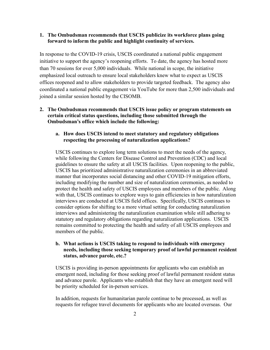### **1. The Ombudsman recommends that USCIS publicize its workforce plans going forward to inform the public and highlight continuity of services.**

In response to the COVID-19 crisis, USCIS coordinated a national public engagement initiative to support the agency's reopening efforts. To date, the agency has hosted more than 70 sessions for over 5,000 individuals. While national in scope, the initiative emphasized local outreach to ensure local stakeholders knew what to expect as USCIS offices reopened and to allow stakeholders to provide targeted feedback. The agency also coordinated a national public engagement via YouTube for more than 2,500 individuals and joined a similar session hosted by the CISOMB.

### **2. The Ombudsman recommends that USCIS issue policy or program statements on certain critical status questions, including those submitted through the Ombudsman's office which include the following:**

### **a. How does USCIS intend to meet statutory and regulatory obligations respecting the processing of naturalization applications?**

USCIS continues to explore long term solutions to meet the needs of the agency, while following the Centers for Disease Control and Prevention (CDC) and local guidelines to ensure the safety at all USCIS facilities. Upon reopening to the public, USCIS has prioritized administrative naturalization ceremonies in an abbreviated manner that incorporates social distancing and other COVID-19 mitigation efforts, including modifying the number and size of naturalization ceremonies, as needed to protect the health and safety of USCIS employees and members of the public. Along with that, USCIS continues to explore ways to gain efficiencies in how naturalization interviews are conducted at USCIS field offices. Specifically, USCIS continues to consider options for shifting to a more virtual setting for conducting naturalization interviews and administering the naturalization examination while still adhering to statutory and regulatory obligations regarding naturalization applications. USCIS remains committed to protecting the health and safety of all USCIS employees and members of the public.

### **b. What actions is USCIS taking to respond to individuals with emergency needs, including those seeking temporary proof of lawful permanent resident status, advance parole, etc.?**

USCIS is providing in-person appointments for applicants who can establish an emergent need, including for those seeking proof of lawful permanent resident status and advance parole. Applicants who establish that they have an emergent need will be priority scheduled for in-person services.

In addition, requests for humanitarian parole continue to be processed, as well as requests for refugee travel documents for applicants who are located overseas. Our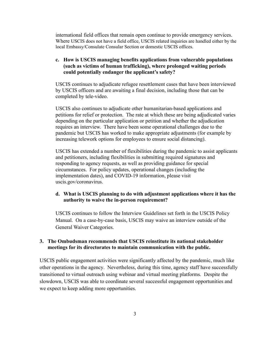international field offices that remain open continue to provide emergency services. Where USCIS does not have a field office, USCIS related inquiries are handled either by the local Embassy/Consulate Consular Section or domestic USCIS offices.

### **c. How is USCIS managing benefits applications from vulnerable populations (such as victims of human trafficking), where prolonged waiting periods could potentially endanger the applicant's safety?**

USCIS continues to adjudicate refugee resettlement cases that have been interviewed by USCIS officers and are awaiting a final decision, including those that can be completed by tele-video.

USCIS also continues to adjudicate other humanitarian-based applications and petitions for relief or protection. The rate at which these are being adjudicated varies depending on the particular application or petition and whether the adjudication requires an interview. There have been some operational challenges due to the pandemic but USCIS has worked to make appropriate adjustments (for example by increasing telework options for employees to ensure social distancing).

USCIS has extended a number of flexibilities during the pandemic to assist applicants and petitioners, including flexibilities in submitting required signatures and responding to agency requests, as well as providing guidance for special circumstances. For policy updates, operational changes (including the implementation dates), and COVID-19 information, please visit uscis.gov/coronavirus.

### **d. What is USCIS planning to do with adjustment applications where it has the authority to waive the in-person requirement?**

USCIS continues to follow the Interview Guidelines set forth in the USCIS Policy Manual. On a case-by-case basis, USCIS may waive an interview outside of the General Waiver Categories.

### **3. The Ombudsman recommends that USCIS reinstitute its national stakeholder meetings for its directorates to maintain communication with the public.**

USCIS public engagement activities were significantly affected by the pandemic, much like other operations in the agency. Nevertheless, during this time, agency staff have successfully transitioned to virtual outreach using webinar and virtual meeting platforms. Despite the slowdown, USCIS was able to coordinate several successful engagement opportunities and we expect to keep adding more opportunities.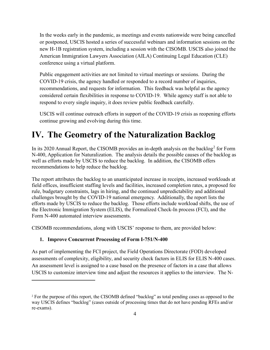In the weeks early in the pandemic, as meetings and events nationwide were being cancelled or postponed, USCIS hosted a series of successful webinars and information sessions on the new H-1B registration system, including a session with the CISOMB. USCIS also joined the American Immigration Lawyers Association (AILA) Continuing Legal Education (CLE) conference using a virtual platform.

Public engagement activities are not limited to virtual meetings or sessions. During the COVID-19 crisis, the agency handled or responded to a record number of inquiries, recommendations, and requests for information. This feedback was helpful as the agency considered certain flexibilities in response to COVID-19. While agency staff is not able to respond to every single inquiry, it does review public feedback carefully.

USCIS will continue outreach efforts in support of the COVID-19 crisis as reopening efforts continue growing and evolving during this time.

### **IV. The Geometry of the Naturalization Backlog**

In its [2](#page-9-0)020 Annual Report, the CISOMB provides an in-depth analysis on the backlog<sup>2</sup> for Form N-400, Application for Naturalization. The analysis details the possible causes of the backlog as well as efforts made by USCIS to reduce the backlog. In addition, the CISOMB offers recommendations to help reduce the backlog.

The report attributes the backlog to an unanticipated increase in receipts, increased workloads at field offices, insufficient staffing levels and facilities, increased completion rates, a proposed fee rule, budgetary constraints, lags in hiring, and the continued unpredictability and additional challenges brought by the COVID-19 national emergency. Additionally, the report lists the efforts made by USCIS to reduce the backlog. Those efforts include workload shifts, the use of the Electronic Immigration System (ELIS), the Formalized Check-In process (FCI), and the Form N-400 automated interview assessments.

CISOMB recommendations, along with USCIS' response to them, are provided below:

### **1. Improve Concurrent Processing of Form I-751/N-400**

As part of implementing the FCI project, the Field Operations Directorate (FOD) developed assessments of complexity, eligibility, and security check factors in ELIS for ELIS N-400 cases. An assessment level is assigned to a case based on the presence of factors in a case that allows USCIS to customize interview time and adjust the resources it applies to the interview. The N-

<span id="page-9-0"></span><sup>&</sup>lt;sup>2</sup> For the purpose of this report, the CISOMB defined "backlog" as total pending cases as opposed to the way USCIS defines "backlog" (cases outside of processing times that do not have pending RFEs and/or re-exams).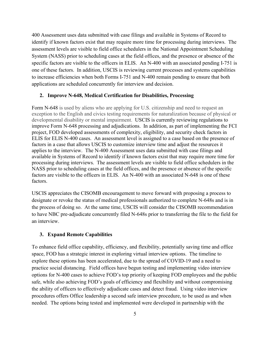400 Assessment uses data submitted with case filings and available in Systems of Record to identify if known factors exist that may require more time for processing during interviews. The assessment levels are visible to field office schedulers in the National Appointment Scheduling System (NASS) prior to scheduling cases at the field offices, and the presence or absence of the specific factors are visible to the officers in ELIS. An N-400 with an associated pending I-751 is one of these factors. In addition, USCIS is reviewing current processes and systems capabilities to increase efficiencies when both Forms I-751 and N-400 remain pending to ensure that both applications are scheduled concurrently for interview and decision.

#### **2. Improve N-648, Medical Certification for Disabilities, Processing**

Form N-648 is used by aliens who are applying for U.S. citizenship and need to request an exception to the English and civics testing requirements for naturalization because of physical or developmental disability or mental impairment. USCIS is currently reviewing regulations to improve Form N-648 processing and adjudications. In addition, as part of implementing the FCI project, FOD developed assessments of complexity, eligibility, and security check factors in ELIS for ELIS N-400 cases. An assessment level is assigned to a case based on the presence of factors in a case that allows USCIS to customize interview time and adjust the resources it applies to the interview. The N-400 Assessment uses data submitted with case filings and available in Systems of Record to identify if known factors exist that may require more time for processing during interviews. The assessment levels are visible to field office schedulers in the NASS prior to scheduling cases at the field offices, and the presence or absence of the specific factors are visible to the officers in ELIS. An N-400 with an associated N-648 is one of these factors.

USCIS appreciates the CISOMB encouragement to move forward with proposing a process to designate or revoke the status of medical professionals authorized to complete N-648s and is in the process of doing so. At the same time, USCIS will consider the CISOMB recommendation to have NBC pre-adjudicate concurrently filed N-648s prior to transferring the file to the field for an interview.

#### **3. Expand Remote Capabilities**

To enhance field office capability, efficiency, and flexibility, potentially saving time and office space, FOD has a strategic interest in exploring virtual interview options. The timeline to explore these options has been accelerated, due to the spread of COVID-19 and a need to practice social distancing. Field offices have begun testing and implementing video interview options for N-400 cases to achieve FOD's top priority of keeping FOD employees and the public safe, while also achieving FOD's goals of efficiency and flexibility and without compromising the ability of officers to effectively adjudicate cases and detect fraud. Using video interview procedures offers Office leadership a second safe interview procedure, to be used as and when needed. The options being tested and implemented were developed in partnership with the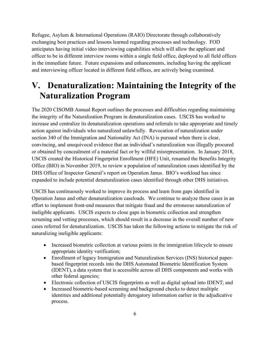Refugee, Asylum & International Operations (RAIO) Directorate through collaboratively exchanging best practices and lessons learned regarding processes and technology. FOD anticipates having initial video interviewing capabilities which will allow the applicant and officer to be in different interview rooms within a single field office, deployed to all field offices in the immediate future. Future expansions and enhancements, including having the applicant and interviewing officer located in different field offices, are actively being examined.

### **V. Denaturalization: Maintaining the Integrity of the Naturalization Program**

The 2020 CISOMB Annual Report outlines the processes and difficulties regarding maintaining the integrity of the Naturalization Program in denaturalization cases. USCIS has worked to increase and centralize its denaturalization operations and referrals to take appropriate and timely action against individuals who naturalized unlawfully. Revocation of naturalization under section 340 of the Immigration and Nationality Act (INA) is pursued when there is clear, convincing, and unequivocal evidence that an individual's naturalization was illegally procured or obtained by concealment of a material fact or by willful misrepresentation. In January 2018, USCIS created the Historical Fingerprint Enrollment (HFE) Unit, renamed the Benefits Integrity Office (BIO) in November 2019, to review a population of naturalization cases identified by the DHS Office of Inspector General's report on Operation Janus. BIO's workload has since expanded to include potential denaturalization cases identified through other DHS initiatives.

USCIS has continuously worked to improve its process and learn from gaps identified in Operation Janus and other denaturalization caseloads. We continue to analyze these cases in an effort to implement front-end measures that mitigate fraud and the erroneous naturalization of ineligible applicants. USCIS expects to close gaps in biometric collection and strengthen screening and vetting processes, which should result in a decrease in the overall number of new cases referred for denaturalization. USCIS has taken the following actions to mitigate the risk of naturalizing ineligible applicants:

- Increased biometric collection at various points in the immigration lifecycle to ensure appropriate identity verification;
- Enrollment of legacy Immigration and Naturalization Services (INS) historical paperbased fingerprint records into the DHS Automated Biometric Identification System (IDENT), a data system that is accessible across all DHS components and works with other federal agencies;
- Electronic collection of USCIS fingerprints as well as digital upload into IDENT; and
- Increased biometric-based screening and background checks to detect multiple identities and additional potentially derogatory information earlier in the adjudicative process.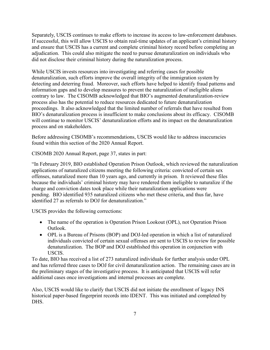Separately, USCIS continues to make efforts to increase its access to law-enforcement databases. If successful, this will allow USCIS to obtain real-time updates of an applicant's criminal history and ensure that USCIS has a current and complete criminal history record before completing an adjudication. This could also mitigate the need to pursue denaturalization on individuals who did not disclose their criminal history during the naturalization process.

While USCIS invests resources into investigating and referring cases for possible denaturalization, such efforts improve the overall integrity of the immigration system by detecting and deterring fraud. Moreover, such efforts have helped to identify fraud patterns and information gaps and to develop measures to prevent the naturalization of ineligible aliens contrary to law. The CISOMB acknowledged that BIO's augmented denaturalization-review process also has the potential to reduce resources dedicated to future denaturalization proceedings. It also acknowledged that the limited number of referrals that have resulted from BIO's denaturalization process is insufficient to make conclusions about its efficacy. CISOMB will continue to monitor USCIS' denaturalization efforts and its impact on the denaturalization process and on stakeholders.

Before addressing CISOMB's recommendations, USCIS would like to address inaccuracies found within this section of the 2020 Annual Report.

CISOMB 2020 Annual Report, page 37, states in part:

"In February 2019, BIO established Operation Prison Outlook, which reviewed the naturalization applications of naturalized citizens meeting the following criteria: convicted of certain sex offenses, naturalized more than 10 years ago, and currently in prison. It reviewed these files because the individuals' criminal history may have rendered them ineligible to naturalize if the charge and conviction dates took place while their naturalization applications were pending. BIO identified 935 naturalized citizens who met these criteria, and thus far, have identified 27 as referrals to DOJ for denaturalization."

USCIS provides the following corrections:

- The name of the operation is Operation Prison Lookout (OPL), not Operation Prison Outlook.
- OPL is a Bureau of Prisons (BOP) and DOJ-led operation in which a list of naturalized individuals convicted of certain sexual offenses are sent to USCIS to review for possible denaturalization. The BOP and DOJ established this operation in conjunction with USCIS.

To date, BIO has received a list of 273 naturalized individuals for further analysis under OPL and has referred three cases to DOJ for civil denaturalization action. The remaining cases are in the preliminary stages of the investigative process. It is anticipated that USCIS will refer additional cases once investigations and internal processes are complete.

Also, USCIS would like to clarify that USCIS did not initiate the enrollment of legacy INS historical paper-based fingerprint records into IDENT. This was initiated and completed by DHS.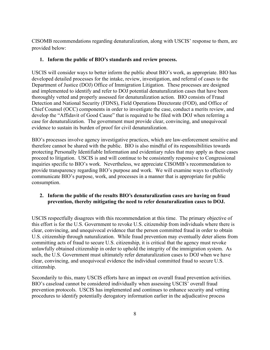CISOMB recommendations regarding denaturalization, along with USCIS' response to them, are provided below:

### **1. Inform the public of BIO's standards and review process.**

USCIS will consider ways to better inform the public about BIO's work, as appropriate. BIO has developed detailed processes for the intake, review, investigation, and referral of cases to the Department of Justice (DOJ) Office of Immigration Litigation. These processes are designed and implemented to identify and refer to DOJ potential denaturalization cases that have been thoroughly vetted and properly assessed for denaturalization action. BIO consists of Fraud Detection and National Security (FDNS), Field Operations Directorate (FOD), and Office of Chief Counsel (OCC) components in order to investigate the case, conduct a merits review, and develop the "Affidavit of Good Cause" that is required to be filed with DOJ when referring a case for denaturalization. The government must provide clear, convincing, and unequivocal evidence to sustain its burden of proof for civil denaturalization.

BIO's processes involve agency investigative practices, which are law-enforcement sensitive and therefore cannot be shared with the public. BIO is also mindful of its responsibilities towards protecting Personally Identifiable Information and evidentiary rules that may apply as these cases proceed to litigation. USCIS is and will continue to be consistently responsive to Congressional inquiries specific to BIO's work. Nevertheless, we appreciate CISOMB's recommendation to provide transparency regarding BIO's purpose and work. We will examine ways to effectively communicate BIO's purpose, work, and processes in a manner that is appropriate for public consumption.

### **2. Inform the public of the results BIO's denaturalization cases are having on fraud prevention, thereby mitigating the need to refer denaturalization cases to DOJ.**

USCIS respectfully disagrees with this recommendation at this time. The primary objective of this effort is for the U.S. Government to revoke U.S. citizenship from individuals where there is clear, convincing, and unequivocal evidence that the person committed fraud in order to obtain U.S. citizenship through naturalization. While fraud prevention may eventually deter aliens from committing acts of fraud to secure U.S. citizenship, it is critical that the agency must revoke unlawfully obtained citizenship in order to uphold the integrity of the immigration system. As such, the U.S. Government must ultimately refer denaturalization cases to DOJ when we have clear, convincing, and unequivocal evidence the individual committed fraud to secure U.S. citizenship.

Secondarily to this, many USCIS efforts have an impact on overall fraud prevention activities. BIO's caseload cannot be considered individually when assessing USCIS' overall fraud prevention protocols. USCIS has implemented and continues to enhance security and vetting procedures to identify potentially derogatory information earlier in the adjudicative process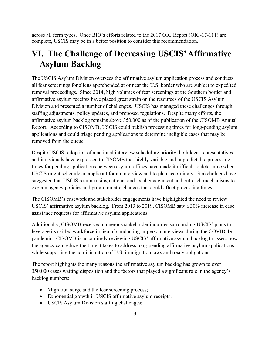across all form types. Once BIO's efforts related to the 2017 OIG Report (OIG-17-111) are complete, USCIS may be in a better position to consider this recommendation.

### **VI. The Challenge of Decreasing USCIS' Affirmative Asylum Backlog**

The USCIS Asylum Division oversees the affirmative asylum application process and conducts all fear screenings for aliens apprehended at or near the U.S. border who are subject to expedited removal proceedings. Since 2014, high volumes of fear screenings at the Southern border and affirmative asylum receipts have placed great strain on the resources of the USCIS Asylum Division and presented a number of challenges. USCIS has managed these challenges through staffing adjustments, policy updates, and proposed regulations. Despite many efforts, the affirmative asylum backlog remains above 350,000 as of the publication of the CISOMB Annual Report. According to CISOMB, USCIS could publish processing times for long-pending asylum applications and could triage pending applications to determine ineligible cases that may be removed from the queue.

Despite USCIS' adoption of a national interview scheduling priority, both legal representatives and individuals have expressed to CISOMB that highly variable and unpredictable processing times for pending applications between asylum offices have made it difficult to determine when USCIS might schedule an applicant for an interview and to plan accordingly. Stakeholders have suggested that USCIS resume using national and local engagement and outreach mechanisms to explain agency policies and programmatic changes that could affect processing times.

The CISOMB's casework and stakeholder engagements have highlighted the need to review USCIS' affirmative asylum backlog. From 2013 to 2019, CISOMB saw a 30% increase in case assistance requests for affirmative asylum applications.

Additionally, CISOMB received numerous stakeholder inquiries surrounding USCIS' plans to leverage its skilled workforce in lieu of conducting in-person interviews during the COVID-19 pandemic. CISOMB is accordingly reviewing USCIS' affirmative asylum backlog to assess how the agency can reduce the time it takes to address long-pending affirmative asylum applications while supporting the administration of U.S. immigration laws and treaty obligations.

The report highlights the many reasons the affirmative asylum backlog has grown to over 350,000 cases waiting disposition and the factors that played a significant role in the agency's backlog numbers:

- Migration surge and the fear screening process;
- Exponential growth in USCIS affirmative asylum receipts;
- USCIS Asylum Division staffing challenges;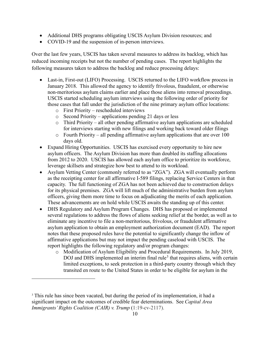- Additional DHS programs obligating USCIS Asylum Division resources; and
- COVID-19 and the suspension of in-person interviews.

Over the last few years, USCIS has taken several measures to address its backlog, which has reduced incoming receipts but not the number of pending cases. The report highlights the following measures taken to address the backlog and reduce processing delays:

- Last-in, First-out (LIFO) Processing. USCIS returned to the LIFO workflow process in January 2018. This allowed the agency to identify frivolous, fraudulent, or otherwise non-meritorious asylum claims earlier and place those aliens into removal proceedings. USCIS started scheduling asylum interviews using the following order of priority for those cases that fall under the jurisdiction of the nine primary asylum office locations:
	- o First Priority rescheduled interviews
	- o Second Priority applications pending 21 days or less
	- o Third Priority all other pending affirmative asylum applications are scheduled for interviews starting with new filings and working back toward older filings
	- $\circ$  Fourth Priority all pending affirmative asylum applications that are over 100 days old.
- Expand Hiring Opportunities. USCIS has exercised every opportunity to hire new asylum officers. The Asylum Division has more than doubled its staffing allocations from 2012 to 2020. USCIS has allowed each asylum office to prioritize its workforce, leverage skillsets and strategize how best to attend to its workload.
- Asylum Vetting Center (commonly referred to as "ZGA"). ZGA will eventually perform as the receipting center for all affirmative I-589 filings, replacing Service Centers in that capacity. The full functioning of ZGA has not been achieved due to construction delays for its physical premises. ZGA will lift much of the administrative burden from asylum officers, giving them more time to focus on adjudicating the merits of each application. These advancements are on hold while USCIS awaits the standing up of this center.
- DHS Regulatory and Asylum Program Changes. DHS has proposed or implemented several regulations to address the flows of aliens seeking relief at the border, as well as to eliminate any incentive to file a non-meritorious, frivolous, or fraudulent affirmative asylum application to obtain an employment authorization document (EAD). The report notes that these proposed rules have the potential to significantly change the inflow of affirmative applications but may not impact the pending caseload with USCIS. The report highlights the following regulatory and/or program changes:
	- o Modification of Asylum Eligibility and Procedural Requirements. In July 2019, DOJ and DHS implemented an interim final rule<sup>[3](#page-15-0)</sup> that requires aliens, with certain limited exceptions, to seek protection in a third-party country through which they transited en route to the United States in order to be eligible for asylum in the

<span id="page-15-0"></span><sup>&</sup>lt;sup>3</sup> This rule has since been vacated, but during the period of its implementation, it had a significant impact on the outcomes of credible fear determinations. See *Capital Area Immigrants' Rights Coalition (CAIR) v. Trump* (1:19-cv-2117).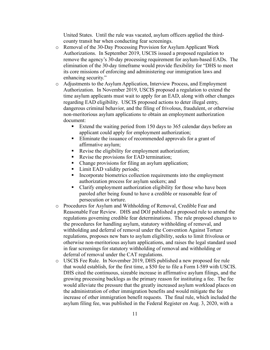United States. Until the rule was vacated, asylum officers applied the thirdcounty transit bar when conducting fear screenings.

- o Removal of the 30-Day Processing Provision for Asylum Applicant Work Authorizations. In September 2019, USCIS issued a proposed regulation to remove the agency's 30-day processing requirement for asylum-based EADs. The elimination of the 30-day timeframe would provide flexibility for "DHS to meet its core missions of enforcing and administering our immigration laws and enhancing security."
- o Adjustments to the Asylum Application, Interview Process, and Employment Authorization. In November 2019, USCIS proposed a regulation to extend the time asylum applicants must wait to apply for an EAD, along with other changes regarding EAD eligibility. USCIS proposed actions to deter illegal entry, dangerous criminal behavior, and the filing of frivolous, fraudulent, or otherwise non-meritorious asylum applications to obtain an employment authorization document:
	- Extend the waiting period from 150 days to 365 calendar days before an applicant could apply for employment authorization;
	- Eliminate the issuance of recommended approvals for a grant of affirmative asylum;
	- Revise the eligibility for employment authorization;
	- Revise the provisions for EAD termination;
	- Change provisions for filing an asylum application;
	- Limit EAD validity periods;
	- **Incorporate biometrics collection requirements into the employment** authorization process for asylum seekers; and
	- Clarify employment authorization eligibility for those who have been paroled after being found to have a credible or reasonable fear of persecution or torture.
- o Procedures for Asylum and Withholding of Removal, Credible Fear and Reasonable Fear Review. DHS and DOJ published a proposed rule to amend the regulations governing credible fear determinations. The rule proposed changes to the procedures for handling asylum, statutory withholding of removal, and withholding and deferral of removal under the Convention Against Torture regulations, proposes new bars to asylum eligibility, seeks to limit frivolous or otherwise non-meritorious asylum applications, and raises the legal standard used in fear screenings for statutory withholding of removal and withholding or deferral of removal under the CAT regulations.
- o USCIS Fee Rule. In November 2019, DHS published a new proposed fee rule that would establish, for the first time, a \$50 fee to file a Form I-589 with USCIS. DHS cited the continuous, sizeable increase in affirmative asylum filings, and the growing processing backlogs as the primary reason for instituting a fee. The fee would alleviate the pressure that the greatly increased asylum workload places on the administration of other immigration benefits and would mitigate the fee increase of other immigration benefit requests. The final rule, which included the asylum filing fee, was published in the Federal Register on Aug. 3, 2020, with a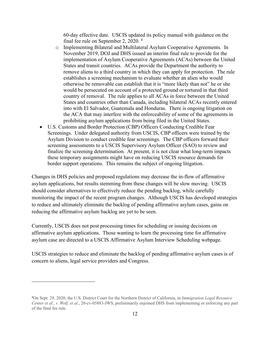60-day effective date. USCIS updated its policy manual with guidance on the final fee rule on September 2, 2020.<sup>[4](#page-17-0)</sup>

- o Implementing Bilateral and Multilateral Asylum Cooperative Agreements. In November 2019, DOJ and DHS issued an interim final rule to provide for the implementation of Asylum Cooperative Agreements (ACAs) between the United States and transit countries. ACAs provide the Department the authority to remove aliens to a third country in which they can apply for protection. The rule establishes a screening mechanism to evaluate whether an alien who would otherwise be removable can establish that it is "more likely than not" he or she would be persecuted on account of a protected ground or tortured in that third country of removal. The rule applies to all ACAs in force between the United States and countries other than Canada, including bilateral ACAs recently entered into with El Salvador, Guatemala and Honduras. There is ongoing litigation on the ACA that may interfere with the enforceability of some of the agreements in prohibiting asylum applications from being filed in the United States.
- U.S. Customs and Border Protection (CBP) Officers Conducting Credible Fear Screenings. Under delegated authority from USCIS, CBP officers were trained by the Asylum Division to conduct credible fear screenings. The CBP officers forward their screening assessments to a USCIS Supervisory Asylum Officer (SAO) to review and finalize the screening determination. At present, it is not clear what long-term impacts these temporary assignments might have on reducing USCIS resource demands for border support operations. This remains the subject of ongoing litigation.

Changes in DHS policies and proposed regulations may decrease the in-flow of affirmative asylum applications, but results stemming from these changes will be slow moving. USCIS should consider alternatives to effectively reduce the pending backlog, while carefully monitoring the impact of the recent program changes. Although USCIS has developed strategies to reduce and ultimately eliminate the backlog of pending affirmative asylum cases, gains on reducing the affirmative asylum backlog are yet to be seen.

Currently, USCIS does not post processing times for scheduling or issuing decisions on affirmative asylum applications. Those wanting to learn the processing time for affirmative asylum case are directed to a USCIS Affirmative Asylum Interview Scheduling webpage.

USCIS strategies to reduce and eliminate the backlog of pending affirmative asylum cases is of concern to aliens, legal service providers and Congress.

<span id="page-17-0"></span><sup>4</sup> On Sept. 29, 2020, the U.S. District Court for the Northern District of California, in *Immigration Legal Resource Center et al., v. Wolf, et al*., 20-cv-05883-JWS, preliminarily enjoined DHS from implementing or enforcing any part of the final fee rule.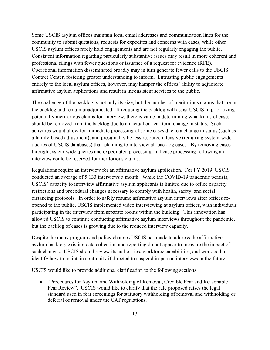Some USCIS asylum offices maintain local email addresses and communication lines for the community to submit questions, requests for expedites and concerns with cases, while other USCIS asylum offices rarely hold engagements and are not regularly engaging the public. Consistent information regarding particularly substantive issues may result in more coherent and professional filings with fewer questions or issuance of a request for evidence (RFE). Operational information disseminated broadly may in turn generate fewer calls to the USCIS Contact Center, fostering greater understanding to inform. Entrusting public engagements entirely to the local asylum offices, however, may hamper the offices' ability to adjudicate affirmative asylum applications and result in inconsistent services to the public.

The challenge of the backlog is not only its size, but the number of meritorious claims that are in the backlog and remain unadjudicated. If reducing the backlog will assist USCIS in prioritizing potentially meritorious claims for interview, there is value in determining what kinds of cases should be removed from the backlog due to an actual or near-term change in status. Such activities would allow for immediate processing of some cases due to a change in status (such as a family-based adjustment), and presumably be less resource intensive (requiring system-wide queries of USCIS databases) than planning to interview all backlog cases. By removing cases through system-wide queries and expeditated processing, full case processing following an interview could be reserved for meritorious claims.

Regulations require an interview for an affirmative asylum application. For FY 2019, USCIS conducted an average of 5,133 interviews a month. While the COVID-19 pandemic persists, USCIS' capacity to interview affirmative asylum applicants is limited due to office capacity restrictions and procedural changes necessary to comply with health, safety, and social distancing protocols. In order to safely resume affirmative asylum interviews after offices reopened to the public, USCIS implemented video interviewing at asylum offices, with individuals participating in the interview from separate rooms within the building. This innovation has allowed USCIS to continue conducting affirmative asylum interviews throughout the pandemic, but the backlog of cases is growing due to the reduced interview capacity.

Despite the many program and policy changes USCIS has made to address the affirmative asylum backlog, existing data collection and reporting do not appear to measure the impact of such changes. USCIS should review its authorities, workforce capabilities, and workload to identify how to maintain continuity if directed to suspend in-person interviews in the future.

USCIS would like to provide additional clarification to the following sections:

• "Procedures for Asylum and Withholding of Removal, Credible Fear and Reasonable Fear Review". USCIS would like to clarify that the rule proposed raises the legal standard used in fear screenings for statutory withholding of removal and withholding or deferral of removal under the CAT regulations.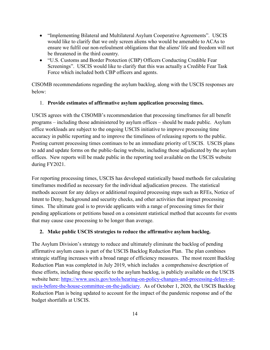- "Implementing Bilateral and Multilateral Asylum Cooperative Agreements". USCIS would like to clarify that we only screen aliens who would be amenable to ACAs to ensure we fulfil our non-refoulment obligations that the aliens' life and freedom will not be threatened in the third country.
- "U.S. Customs and Border Protection (CBP) Officers Conducting Credible Fear Screenings". USCIS would like to clarify that this was actually a Credible Fear Task Force which included both CBP officers and agents.

CISOMB recommendations regarding the asylum backlog, along with the USCIS responses are below:

### 1. **Provide estimates of affirmative asylum application processing times.**

USCIS agrees with the CISOMB's recommendation that processing timeframes for all benefit programs – including those administered by asylum offices – should be made public. Asylum office workloads are subject to the ongoing USCIS initiative to improve processing time accuracy in public reporting and to improve the timeliness of releasing reports to the public. Posting current processing times continues to be an immediate priority of USCIS. USCIS plans to add and update forms on the public-facing website, including those adjudicated by the asylum offices. New reports will be made public in the reporting tool available on the USCIS website during FY2021.

For reporting processing times, USCIS has developed statistically based methods for calculating timeframes modified as necessary for the individual adjudication process. The statistical methods account for any delays or additional required processing steps such as RFEs, Notice of Intent to Deny, background and security checks, and other activities that impact processing times. The ultimate goal is to provide applicants with a range of processing times for their pending applications or petitions based on a consistent statistical method that accounts for events that may cause case processing to be longer than average.

### **2. Make public USCIS strategies to reduce the affirmative asylum backlog.**

The Asylum Division's strategy to reduce and ultimately eliminate the backlog of pending affirmative asylum cases is part of the USCIS Backlog Reduction Plan. The plan combines strategic staffing increases with a broad range of efficiency measures. The most recent Backlog Reduction Plan was completed in July 2019, which includes a comprehensive description of these efforts, including those specific to the asylum backlog, is publicly available on the USCIS website here: [https://www.uscis.gov/tools/hearing-on-policy-changes-and-processing-delays-at](https://www.uscis.gov/tools/hearing-on-policy-changes-and-processing-delays-at-uscis-before-the-house-committee-on-the-judiciary)[uscis-before-the-house-committee-on-the-judiciary.](https://www.uscis.gov/tools/hearing-on-policy-changes-and-processing-delays-at-uscis-before-the-house-committee-on-the-judiciary) As of October 1, 2020, the USCIS Backlog Reduction Plan is being updated to account for the impact of the pandemic response and of the budget shortfalls at USCIS.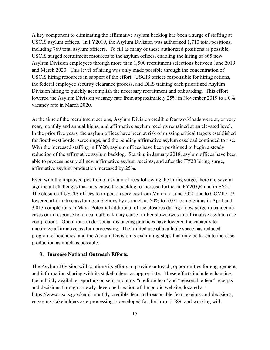A key component to eliminating the affirmative asylum backlog has been a surge of staffing at USCIS asylum offices. In FY2019, the Asylum Division was authorized 1,710 total positions, including 769 total asylum officers. To fill as many of these authorized positions as possible, USCIS surged recruitment resources to the asylum offices, enabling the hiring of 865 new Asylum Division employees through more than 1,500 recruitment selections between June 2019 and March 2020. This level of hiring was only made possible through the concentration of USCIS hiring resources in support of the effort. USCIS offices responsible for hiring actions, the federal employee security clearance process, and DHS training each prioritized Asylum Division hiring to quickly accomplish the necessary recruitment and onboarding. This effort lowered the Asylum Division vacancy rate from approximately 25% in November 2019 to a 0% vacancy rate in March 2020.

At the time of the recruitment actions, Asylum Division credible fear workloads were at, or very near, monthly and annual highs, and affirmative asylum receipts remained at an elevated level. In the prior five years, the asylum offices have been at risk of missing critical targets established for Southwest border screenings, and the pending affirmative asylum caseload continued to rise. With the increased staffing in FY20, asylum offices have been positioned to begin a steady reduction of the affirmative asylum backlog. Starting in January 2018, asylum offices have been able to process nearly all new affirmative asylum receipts, and after the FY20 hiring surge, affirmative asylum production increased by 25%.

Even with the improved position of asylum offices following the hiring surge, there are several significant challenges that may cause the backlog to increase further in FY20 Q4 and in FY21. The closure of USCIS offices to in-person services from March to June 2020 due to COVID-19 lowered affirmative asylum completions by as much as 50% to 5,071 completions in April and 3,013 completions in May. Potential additional office closures during a new surge in pandemic cases or in response to a local outbreak may cause further slowdowns in affirmative asylum case completions. Operations under social distancing practices have lowered the capacity to maximize affirmative asylum processing. The limited use of available space has reduced program efficiencies, and the Asylum Division is examining steps that may be taken to increase production as much as possible.

### **3. Increase National Outreach Efforts.**

The Asylum Division will continue its efforts to provide outreach, opportunities for engagement, and information sharing with its stakeholders, as appropriate. These efforts include enhancing the publicly available reporting on semi-monthly "credible fear" and "reasonable fear" receipts and decisions through a newly developed section of the public website, located at: https://www.uscis.gov/semi-monthly-credible-fear-and-reasonable-fear-receipts-and-decisions; engaging stakeholders as e-processing is developed for the Form I-589; and working with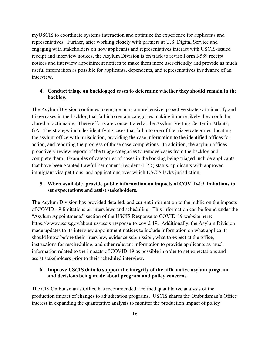myUSCIS to coordinate systems interaction and optimize the experience for applicants and representatives. Further, after working closely with partners at U.S. Digital Service and engaging with stakeholders on how applicants and representatives interact with USCIS-issued receipt and interview notices, the Asylum Division is on track to revise Form I-589 receipt notices and interview appointment notices to make them more user-friendly and provide as much useful information as possible for applicants, dependents, and representatives in advance of an interview.

### **4. Conduct triage on backlogged cases to determine whether they should remain in the backlog.**

The Asylum Division continues to engage in a comprehensive, proactive strategy to identify and triage cases in the backlog that fall into certain categories making it more likely they could be closed or actionable. These efforts are concentrated at the Asylum Vetting Center in Atlanta, GA. The strategy includes identifying cases that fall into one of the triage categories, locating the asylum office with jurisdiction, providing the case information to the identified offices for action, and reporting the progress of those case completions. In addition, the asylum offices proactively review reports of the triage categories to remove cases from the backlog and complete them. Examples of categories of cases in the backlog being triaged include applicants that have been granted Lawful Permanent Resident (LPR) status, applicants with approved immigrant visa petitions, and applications over which USCIS lacks jurisdiction.

### **5. When available, provide public information on impacts of COVID-19 limitations to set expectations and assist stakeholders.**

The Asylum Division has provided detailed, and current information to the public on the impacts of COVID-19 limitations on interviews and scheduling. This information can be found under the "Asylum Appointments" section of the USCIS Response to COVID-19 website here: https://www.uscis.gov/about-us/uscis-response-to-covid-19. Additionally, the Asylum Division made updates to its interview appointment notices to include information on what applicants should know before their interview, evidence submission, what to expect at the office, instructions for rescheduling, and other relevant information to provide applicants as much information related to the impacts of COVID-19 as possible in order to set expectations and assist stakeholders prior to their scheduled interview.

### **6. Improve USCIS data to support the integrity of the affirmative asylum program and decisions being made about program and policy concerns.**

The CIS Ombudsman's Office has recommended a refined quantitative analysis of the production impact of changes to adjudication programs. USCIS shares the Ombudsman's Office interest in expanding the quantitative analysis to monitor the production impact of policy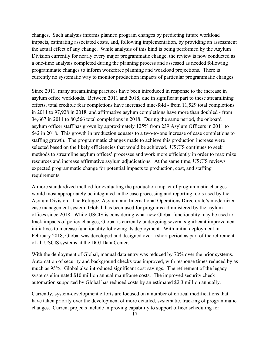changes. Such analysis informs planned program changes by predicting future workload impacts, estimating associated costs, and, following implementation, by providing an assessment the actual effect of any change. While analysis of this kind is being performed by the Asylum Division currently for nearly every major programmatic change, the review is now conducted as a one-time analysis completed during the planning process and assessed as needed following programmatic changes to inform workforce planning and workload projections. There is currently no systematic way to monitor production impacts of particular programmatic changes.

Since 2011, many streamlining practices have been introduced in response to the increase in asylum office workloads. Between 2011 and 2018, due in significant part to these streamlining efforts, total credible fear completions have increased nine-fold - from 11,529 total completions in 2011 to 97,928 in 2018, and affirmative asylum completions have more than doubled - from 34,667 in 2011 to 80,566 total completions in 2018. During the same period, the onboard asylum officer staff has grown by approximately 125% from 239 Asylum Officers in 2011 to 542 in 2018. This growth in production equates to a two-to-one increase of case completions to staffing growth. The programmatic changes made to achieve this production increase were selected based on the likely efficiencies that would be achieved. USCIS continues to seek methods to streamline asylum offices' processes and work more efficiently in order to maximize resources and increase affirmative asylum adjudications. At the same time, USCIS reviews expected programmatic change for potential impacts to production, cost, and staffing requirements.

A more standardized method for evaluating the production impact of programmatic changes would most appropriately be integrated in the case processing and reporting tools used by the Asylum Division. The Refugee, Asylum and International Operations Directorate's modernized case management system, Global, has been used for programs administered by the asylum offices since 2018. While USCIS is considering what new Global functionality may be used to track impacts of policy changes, Global is currently undergoing several significant improvement initiatives to increase functionality following its deployment. With initial deployment in February 2018, Global was developed and designed over a short period as part of the retirement of all USCIS systems at the DOJ Data Center.

With the deployment of Global, manual data entry was reduced by 70% over the prior systems. Automation of security and background checks was improved, with response times reduced by as much as 95%. Global also introduced significant cost savings. The retirement of the legacy systems eliminated \$10 million annual mainframe costs. The improved security check automation supported by Global has reduced costs by an estimated \$2.3 million annually.

Currently, system-development efforts are focused on a number of critical modifications that have taken priority over the development of more detailed, systematic, tracking of programmatic changes. Current projects include improving capability to support officer scheduling for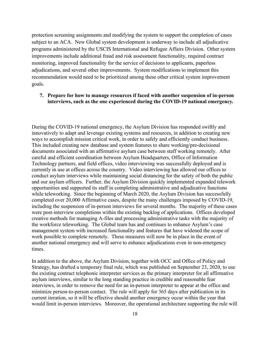protection screening assignments and modifying the system to support the completion of cases subject to an ACA. New Global system development is underway to include all adjudicative programs administered by the USCIS International and Refugee Affairs Division. Other system improvements include additional fraud and risk assessment functionality, required contract monitoring, improved functionality for the service of decisions to applicants, paperless adjudications, and several other improvements. System modifications to implement this recommendation would need to be prioritized among these other critical system improvement goals.

### **7. Prepare for how to manage resources if faced with another suspension of in-person interviews, such as the one experienced during the COVID-19 national emergency.**

During the COVID-19 national emergency, the Asylum Division has responded swiftly and innovatively to adapt and leverage existing systems and resources, in addition to creating new ways to accomplish mission critical work, in order to safely and efficiently conduct business. This included creating new database and system features to share working/pre-decisional documents associated with an affirmative asylum case between staff working remotely. After careful and efficient coordination between Asylum Headquarters, Office of Information Technology partners, and field offices, video interviewing was successfully deployed and is currently in use at offices across the country. Video interviewing has allowed our offices to conduct asylum interviews while maintaining social distancing for the safety of both the public and our asylum officers. Further, the Asylum Division quickly implemented expanded telework opportunities and supported its staff in completing administrative and adjudicative functions while teleworking. Since the beginning of March 2020, the Asylum Division has successfully completed over 20,000 Affirmative cases, despite the many challenges imposed by COVID-19, including the suspension of in-person interviews for several months. The majority of these cases were post-interview completions within the existing backlog of applications. Offices developed creative methods for managing A-files and processing administrative tasks with the majority of the workforce teleworking. The Global team has and continues to enhance Asylum's case management system with increased functionality and features that have widened the scope of work possible to complete remotely. These measures will now be in place in the event of another national emergency and will serve to enhance adjudications even in non-emergency times.

In addition to the above, the Asylum Division, together with OCC and Office of Policy and Strategy, has drafted a temporary final rule, which was published on September 23, 2020, to use the existing contract telephonic interpreter services as the primary interpreter for all affirmative asylum interviews, similar to the long standing practice in credible and reasonable fear interviews, in order to remove the need for an in-person interpreter to appear at the office and minimize person-to-person contact. The rule will apply for 365 days after publication in its current iteration, so it will be effective should another emergency occur within the year that would limit in-person interviews. Moreover, the operational architecture supporting the rule will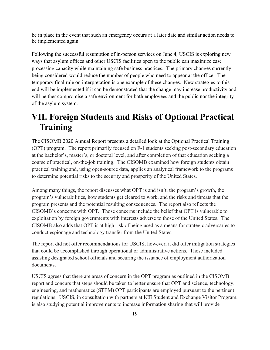be in place in the event that such an emergency occurs at a later date and similar action needs to be implemented again.

Following the successful resumption of in-person services on June 4, USCIS is exploring new ways that asylum offices and other USCIS facilities open to the public can maximize case processing capacity while maintaining safe business practices. The primary changes currently being considered would reduce the number of people who need to appear at the office. The temporary final rule on interpretation is one example of these changes. New strategies to this end will be implemented if it can be demonstrated that the change may increase productivity and will neither compromise a safe environment for both employees and the public nor the integrity of the asylum system.

### **VII. Foreign Students and Risks of Optional Practical Training**

The CISOMB 2020 Annual Report presents a detailed look at the Optional Practical Training (OPT) program. The report primarily focused on F-1 students seeking post-secondary education at the bachelor's, master's, or doctoral level, and after completion of that education seeking a course of practical, on-the-job training. The CISOMB examined how foreign students obtain practical training and, using open-source data, applies an analytical framework to the programs to determine potential risks to the security and prosperity of the United States.

Among many things, the report discusses what OPT is and isn't, the program's growth, the program's vulnerabilities, how students get cleared to work, and the risks and threats that the program presents and the potential resulting consequences. The report also reflects the CISOMB's concerns with OPT. Those concerns include the belief that OPT is vulnerable to exploitation by foreign governments with interests adverse to those of the United States. The CISOMB also adds that OPT is at high risk of being used as a means for strategic adversaries to conduct espionage and technology transfer from the United States.

The report did not offer recommendations for USCIS; however, it did offer mitigation strategies that could be accomplished through operational or administrative actions. Those included assisting designated school officials and securing the issuance of employment authorization documents.

USCIS agrees that there are areas of concern in the OPT program as outlined in the CISOMB report and concurs that steps should be taken to better ensure that OPT and science, technology, engineering, and mathematics (STEM) OPT participants are employed pursuant to the pertinent regulations. USCIS, in consultation with partners at ICE Student and Exchange Visitor Program, is also studying potential improvements to increase information sharing that will provide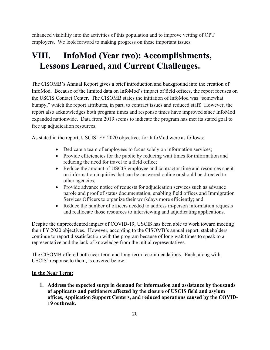enhanced visibility into the activities of this population and to improve vetting of OPT employers. We look forward to making progress on these important issues.

### **VIII. InfoMod (Year two): Accomplishments, Lessons Learned, and Current Challenges.**

The CISOMB's Annual Report gives a brief introduction and background into the creation of InfoMod. Because of the limited data on InfoMod's impact of field offices, the report focuses on the USCIS Contact Center. The CISOMB states the initiation of InfoMod was "somewhat bumpy," which the report attributes, in part, to contract issues and reduced staff. However, the report also acknowledges both program times and response times have improved since InfoMod expanded nationwide. Data from 2019 seems to indicate the program has met its stated goal to free up adjudication resources.

As stated in the report, USCIS' FY 2020 objectives for InfoMod were as follows:

- Dedicate a team of employees to focus solely on information services;
- Provide efficiencies for the public by reducing wait times for information and reducing the need for travel to a field office;
- Reduce the amount of USCIS employee and contractor time and resources spent on information inquiries that can be answered online or should be directed to other agencies;
- Provide advance notice of requests for adjudication services such as advance parole and proof of status documentation, enabling field offices and Immigration Services Officers to organize their workdays more efficiently; and
- Reduce the number of officers needed to address in-person information requests and reallocate those resources to interviewing and adjudicating applications.

Despite the unprecedented impact of COVID-19, USCIS has been able to work toward meeting their FY 2020 objectives. However, according to the CISOMB's annual report, stakeholders continue to report dissatisfaction with the program because of long wait times to speak to a representative and the lack of knowledge from the initial representatives.

The CISOMB offered both near-term and long-term recommendations. Each, along with USCIS' response to them, is covered below:

### **In the Near Term:**

**1. Address the expected surge in demand for information and assistance by thousands of applicants and petitioners affected by the closure of USCIS field and asylum offices, Application Support Centers, and reduced operations caused by the COVID-19 outbreak.**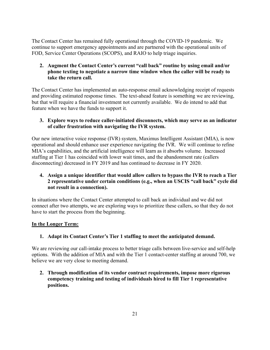The Contact Center has remained fully operational through the COVID-19 pandemic. We continue to support emergency appointments and are partnered with the operational units of FOD, Service Center Operations (SCOPS), and RAIO to help triage inquiries.

### **2. Augment the Contact Center's current "call back" routine by using email and/or phone texting to negotiate a narrow time window when the caller will be ready to take the return call.**

The Contact Center has implemented an auto-response email acknowledging receipt of requests and providing estimated response times. The text-ahead feature is something we are reviewing, but that will require a financial investment not currently available. We do intend to add that feature when we have the funds to support it.

### **3. Explore ways to reduce caller-initiated disconnects, which may serve as an indicator of caller frustration with navigating the IVR system.**

Our new interactive voice response (IVR) system, Maximus Intelligent Assistant (MIA), is now operational and should enhance user experience navigating the IVR. We will continue to refine MIA's capabilities, and the artificial intelligence will learn as it absorbs volume. Increased staffing at Tier 1 has coincided with lower wait times, and the abandonment rate (callers disconnecting) decreased in FY 2019 and has continued to decrease in FY 2020.

### **4. Assign a unique identifier that would allow callers to bypass the IVR to reach a Tier 2 representative under certain conditions (e.g., when an USCIS "call back" cycle did not result in a connection).**

In situations where the Contact Center attempted to call back an individual and we did not connect after two attempts, we are exploring ways to prioritize these callers, so that they do not have to start the process from the beginning.

### **In the Longer Term:**

### **1. Adapt its Contact Center's Tier 1 staffing to meet the anticipated demand.**

We are reviewing our call-intake process to better triage calls between live-service and self-help options. With the addition of MIA and with the Tier 1 contact-center staffing at around 700, we believe we are very close to meeting demand.

**2. Through modification of its vendor contract requirements, impose more rigorous competency training and testing of individuals hired to fill Tier 1 representative positions.**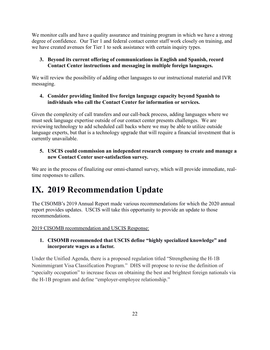We monitor calls and have a quality assurance and training program in which we have a strong degree of confidence. Our Tier 1 and federal contact center staff work closely on training, and we have created avenues for Tier 1 to seek assistance with certain inquiry types.

### **3. Beyond its current offering of communications in English and Spanish, record Contact Center instructions and messaging in multiple foreign languages.**

We will review the possibility of adding other languages to our instructional material and IVR messaging.

### **4. Consider providing limited live foreign language capacity beyond Spanish to individuals who call the Contact Center for information or services.**

Given the complexity of call transfers and our call-back process, adding languages where we must seek language expertise outside of our contact center presents challenges. We are reviewing technology to add scheduled call backs where we may be able to utilize outside language experts, but that is a technology upgrade that will require a financial investment that is currently unavailable.

### **5. USCIS could commission an independent research company to create and manage a new Contact Center user-satisfaction survey.**

We are in the process of finalizing our omni-channel survey, which will provide immediate, realtime responses to callers.

## **IX. 2019 Recommendation Update**

The CISOMB's 2019 Annual Report made various recommendations for which the 2020 annual report provides updates. USCIS will take this opportunity to provide an update to those recommendations.

2019 CISOMB recommendation and USCIS Response:

### **1. CISOMB recommended that USCIS define "highly specialized knowledge" and incorporate wages as a factor.**

Under the Unified Agenda, there is a proposed regulation titled "Strengthening the H-1B Nonimmigrant Visa Classification Program." DHS will propose to revise the definition of "specialty occupation" to increase focus on obtaining the best and brightest foreign nationals via the H-1B program and define "employer-employee relationship."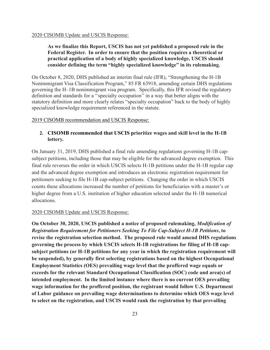#### 2020 CISOMB Update and USCIS Response:

### **As we finalize this Report, USCIS has not yet published a proposed rule in the Federal Register. In order to ensure that the position requires a theoretical or practical application of a body of highly specialized knowledge, USCIS should consider defining the term "highly specialized knowledge" in its rulemaking.**

On October 8, 2020, DHS published an interim final rule (IFR), "Strengthening the H-1B Nonimmigrant Visa Classification Program," 85 FR 63918, amending certain DHS regulations governing the H–1B nonimmigrant visa program. Specifically, this IFR revised the regulatory definition and standards for a ''specialty occupation'' in a way that better aligns with the statutory definition and more clearly relates "specialty occupation" back to the body of highly specialized knowledge requirement referenced in the statute.

#### 2019 CISOMB recommendation and USCIS Response:

### **2. CISOMB recommended that USCIS prioritize wages and skill level in the H-1B lottery.**

On January 31, 2019, DHS published a final rule amending regulations governing H-1B capsubject petitions, including those that may be eligible for the advanced degree exemption. This final rule reverses the order in which USCIS selects H-1B petitions under the H-1B regular cap and the advanced degree exemption and introduces an electronic registration requirement for petitioners seeking to file H-1B cap-subject petitions. Changing the order in which USCIS counts these allocations increased the number of petitions for beneficiaries with a master's or higher degree from a U.S. institution of higher education selected under the H-1B numerical allocations.

#### 2020 CISOMB Update and USCIS Response:

**On October 30, 2020, USCIS published a notice of proposed rulemaking,** *Modification of Registration Requirement for Petitioners Seeking To File Cap-Subject H-1B Petitions***, to revise the registration selection method. The proposed rule would amend DHS regulations governing the process by which USCIS selects H-1B registrations for filing of H-1B capsubject petitions (or H-1B petitions for any year in which the registration requirement will be suspended), by generally first selecting registrations based on the highest Occupational Employment Statistics (OES) prevailing wage level that the proffered wage equals or exceeds for the relevant Standard Occupational Classification (SOC) code and area(s) of intended employment. In the limited instance where there is no current OES prevailing wage information for the proffered position, the registrant would follow U.S. Department of Labor guidance on prevailing wage determinations to determine which OES wage level to select on the registration, and USCIS would rank the registration by that prevailing**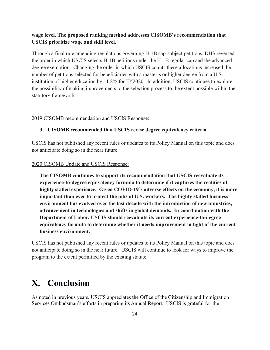### **wage level. The proposed ranking method addresses CISOMB's recommendation that USCIS prioritize wage and skill level.**

Through a final rule amending regulations governing H-1B cap-subject petitions, DHS reversed the order in which USCIS selects H-1B petitions under the H-1B regular cap and the advanced degree exemption. Changing the order in which USCIS counts these allocations increased the number of petitions selected for beneficiaries with a master's or higher degree from a U.S. institution of higher education by 11.8% for FY2020. In addition, USCIS continues to explore the possibility of making improvements to the selection process to the extent possible within the statutory framework.

#### 2019 CISOMB recommendation and USCIS Response:

#### **3. CISOMB recommended that USCIS revise degree equivalency criteria.**

USCIS has not published any recent rules or updates to its Policy Manual on this topic and does not anticipate doing so in the near future.

#### 2020 CISOMB Update and USCIS Response:

**The CISOMB continues to support its recommendation that USCIS reevaluate its experience-to-degree equivalency formula to determine if it captures the realities of highly skilled experience. Given COVID-19's adverse effects on the economy, it is more important than ever to protect the jobs of U.S. workers. The highly skilled business environment has evolved over the last decade with the introduction of new industries, advancement in technologies and shifts in global demands. In coordination with the Department of Labor, USCIS should reevaluate its current experience-to-degree equivalency formula to determine whether it needs improvement in light of the current business environment.**

USCIS has not published any recent rules or updates to its Policy Manual on this topic and does not anticipate doing so in the near future. USCIS will continue to look for ways to improve the program to the extent permitted by the existing statute.

### **X. Conclusion**

As noted in previous years, USCIS appreciates the Office of the Citizenship and Immigration Services Ombudsman's efforts in preparing its Annual Report. USCIS is grateful for the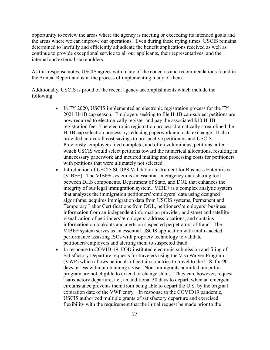opportunity to review the areas where the agency is meeting or exceeding its intended goals and the areas where we can improve our operations. Even during these trying times, USCIS remains determined to lawfully and efficiently adjudicate the benefit applications received as well as continue to provide exceptional service to all our applicants, their representatives, and the internal and external stakeholders.

As this response notes, USCIS agrees with many of the concerns and recommendations found in the Annual Report and is in the process of implementing many of them.

Additionally, USCIS is proud of the recent agency accomplishments which include the following:

- In FY 2020, USCIS implemented an electronic registration process for the FY 2021 H-1B cap season. Employers seeking to file H-1B cap-subject petitions are now required to electronically register and pay the associated \$10 H-1B registration fee. The electronic registration process dramatically streamlined the H-1B cap selection process by reducing paperwork and data exchange. It also provided an overall cost savings to prospective petitioners and USCIS. Previously, employers filed complete, and often voluminous, petitions, after which USCIS would select petitions toward the numerical allocations, resulting in unnecessary paperwork and incurred mailing and processing costs for petitioners with petitions that were ultimately not selected.
- Introduction of USCIS SCOPS Validation Instrument for Business Enterprises (VIBE+). The VIBE+ system is an essential interagency data-sharing tool between DHS components, Department of State, and DOL that enhances the integrity of our legal immigration system. VIBE+ is a complex analytic system that analyzes the immigration petitioners'/employers' data using designed algorithms; acquires immigration data from USCIS systems, Permanent and Temporary Labor Certifications from DOL, petitioners'/employers' business information from an independent information provider, and street and satellite visualization of petitioners'/employers' address locations; and contains information on lookouts and alerts on suspected perpetrators of fraud. The VIBE+ system serves as an essential USCIS application with multi-faceted performance assisting ISOs with propriety technology to validate petitioners/employers and alerting them to suspected fraud.
- In response to COVID-19, FOD instituted electronic submission and filing of Satisfactory Departure requests for travelers using the Visa Waiver Program (VWP) which allows nationals of certain countries to travel to the U.S. for 90 days or less without obtaining a visa. Non-immigrants admitted under this program are not eligible to extend or change status. They can, however, request "satisfactory departure, i.e., an additional 30 days to depart, when an emergent circumstance prevents them from being able to depart the U.S. by the original expiration date of the VWP entry. In response to the COVID19 pandemic, USCIS authorized multiple grants of satisfactory departure and exercised flexibility with the requirement that the initial request be made prior to the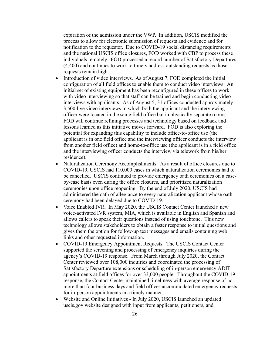expiration of the admission under the VWP. In addition, USCIS modified the process to allow for electronic submission of requests and evidence and for notification to the requestor. Due to COVID-19 social distancing requirements and the national USCIS office closures, FOD worked with CBP to process these individuals remotely. FOD processed a record number of Satisfactory Departures (4,400) and continues to work to timely address outstanding requests as those requests remain high.

- Introduction of video interviews. As of August 7, FOD completed the initial configuration of all field offices to enable them to conduct video interviews. An initial set of existing equipment has been reconfigured in these offices to work with video interviewing so that staff can be trained and begin conducting video interviews with applicants. As of August 5, 31 offices conducted approximately 3,500 live video interviews in which both the applicant and the interviewing officer were located in the same field office but in physically separate rooms. FOD will continue refining processes and technology based on feedback and lessons learned as this initiative moves forward. FOD is also exploring the potential for expanding this capability to include office-to-office use (the applicant is in one field office and the interviewing officer conducts the interview from another field office) and home-to-office use (the applicant is in a field office and the interviewing officer conducts the interview via telework from his/her residence).
- Naturalization Ceremony Accomplishments. As a result of office closures due to COVID-19, USCIS had 110,000 cases in which naturalization ceremonies had to be cancelled. USCIS continued to provide emergency oath ceremonies on a caseby-case basis even during the office closures, and prioritized naturalization ceremonies upon office reopening. By the end of July 2020, USCIS had administered the oath of allegiance to every naturalization applicant whose oath ceremony had been delayed due to COVID-19.
- Voice Enabled IVR. In May 2020, the USCIS Contact Center launched a new voice-activated IVR system, MIA, which is available in English and Spanish and allows callers to speak their questions instead of using touchtone. This new technology allows stakeholders to obtain a faster response to initial questions and gives them the option for follow-up text messages and emails containing web links and other requested information.
- COVID-19 Emergency Appointment Requests. The USCIS Contact Center supported the screening and processing of emergency inquiries during the agency's COVID-19 response. From March through July 2020, the Contact Center reviewed over 108,000 inquiries and coordinated the processing of Satisfactory Departure extensions or scheduling of in-person emergency ADIT appointments at field offices for over 33,000 people. Throughout the COVID-19 response, the Contact Center maintained timeliness with average response of no more than four business days and field offices accommodated emergency requests for in-person appointments in a timely manner.
- Website and Online Initiatives In July 2020, USCIS launched an updated uscis.gov website designed with input from applicants, petitioners, and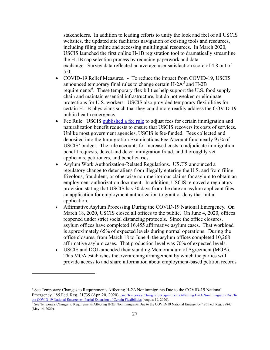stakeholders. In addition to leading efforts to unify the look and feel of all USCIS websites, the updated site facilitates navigation of existing tools and resources, including filing online and accessing multilingual resources. In March 2020, USCIS launched the first online H-1B registration tool to dramatically streamline the H-1B cap selection process by reducing paperwork and data exchange. Survey data reflected an average user satisfaction score of 4.8 out of 5.0.

- COVID-19 Relief Measures. To reduce the impact from COVID-19, USCIS announced temporary final rules to change certain  $H-2A<sup>5</sup>$  $H-2A<sup>5</sup>$  $H-2A<sup>5</sup>$  and  $H-2B$ requirements<sup>[6](#page-32-1)</sup>. These temporary flexibilities help support the U.S. food supply chain and maintain essential infrastructure, but do not weaken or eliminate protections for U.S. workers. USCIS also provided temporary flexibilities for certain H-1B physicians such that they could more readily address the COVID-19 public health emergency.
- Fee Rule. USCIS [published a fee rule](https://www.uscis.gov/news/news-releases/uscis-adjusts-fees-to-help-meet-operational-needs) to adjust fees for certain immigration and naturalization benefit requests to ensure that USCIS recovers its costs of services. Unlike most government agencies, USCIS is fee-funded. Fees collected and deposited into the Immigration Examinations Fee Account fund nearly 97% of USCIS' budget. The rule accounts for increased costs to adjudicate immigration benefit requests, detect and deter immigration fraud, and thoroughly vet applicants, petitioners, and beneficiaries.
- Asylum Work Authorization-Related Regulations. USCIS announced a regulatory change to deter aliens from illegally entering the U.S. and from filing frivolous, fraudulent, or otherwise non-meritorious claims for asylum to obtain an employment authorization document. In addition, USCIS removed a regulatory provision stating that USCIS has 30 days from the date an asylum applicant files an application for employment authorization to grant or deny that initial application.
- Affirmative Asylum Processing During the COVID-19 National Emergency. On March 18, 2020, USCIS closed all offices to the public. On June 4, 2020, offices reopened under strict social distancing protocols. Since the office closures, asylum offices have completed 16,455 affirmative asylum cases. That workload is approximately 65% of expected levels during normal operations. During the office closures, from March 18 to June 4, the asylum offices completed 10,268 affirmative asylum cases. That production level was 70% of expected levels.
- USCIS and DOL amended their standing Memorandum of Agreement (MOA). This MOA establishes the overarching arrangement by which the parties will provide access to and share information about employment-based petition records

<span id="page-32-0"></span><sup>5</sup> See Temporary Changes to Requirements Affecting H-2A Nonimmigrants Due to the COVID-19 National Emergency," 85 Fed. Reg. 21739 (Apr. 20, 2020)., and Temporary Changes to Requirements Affecting H-2A Nonimmigrants Due To [the COVID-19 National Emergency: Partial Extension of Certain Flexibilities](https://www.federalregister.gov/documents/2020/08/20/2020-18283/temporary-changes-to-requirements-affecting-h-2a-nonimmigrants-due-to-the-covid-19-national) (August 19, 2020).

<span id="page-32-1"></span><sup>6</sup> See Temporary Changes to Requirements Affecting H-2B Nonimmigrants Due to the COVID-19 National Emergency," 85 Fed. Reg. 28843 (May 14, 2020).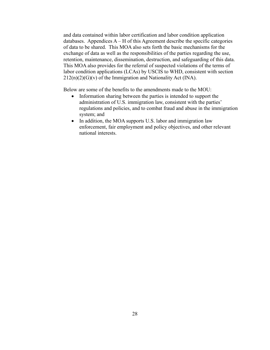and data contained within labor certification and labor condition application databases. Appendices  $A - H$  of this Agreement describe the specific categories of data to be shared. This MOA also sets forth the basic mechanisms for the exchange of data as well as the responsibilities of the parties regarding the use, retention, maintenance, dissemination, destruction, and safeguarding of this data. This MOA also provides for the referral of suspected violations of the terms of labor condition applications (LCAs) by USCIS to WHD, consistent with section  $212(n)(2)(G)(v)$  of the Immigration and Nationality Act (INA).

Below are some of the benefits to the amendments made to the MOU:

- Information sharing between the parties is intended to support the administration of U.S. immigration law, consistent with the parties' regulations and policies, and to combat fraud and abuse in the immigration system; and
- In addition, the MOA supports U.S. labor and immigration law enforcement, fair employment and policy objectives, and other relevant national interests.